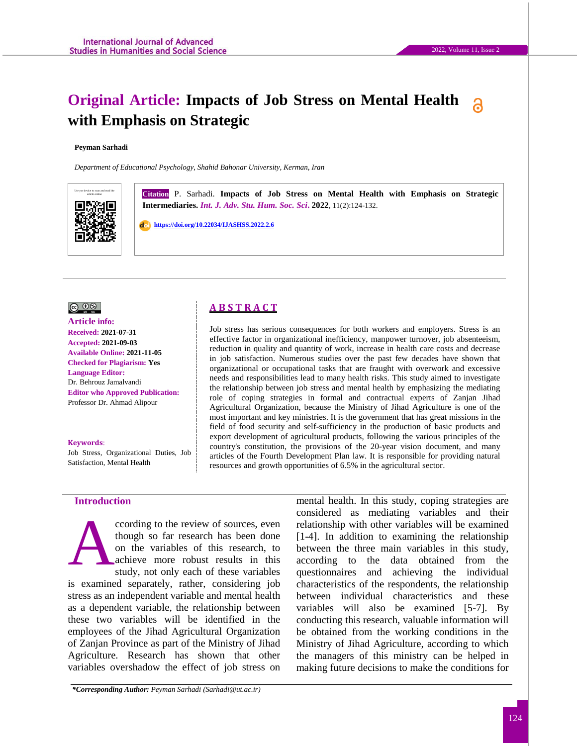## **Original Article: Impacts of Job Stress on Mental Health**  G **with Emphasis on Strategic**

#### **Peyman Sarhadi**

*Department of Educational Psychology, Shahid Bahonar University, Kerman, Iran*



**Citation** P. Sarhadi. **Impacts of Job Stress on Mental Health with Emphasis on Strategic Intermediaries.** *Int. J. Adv. Stu. Hum. Soc. Sci***. 2022**, 11(2):124-132.

 **<https://doi.org/10.22034/IJASHSS.2022.2.6>**

#### $\circledcirc$   $\circledcirc$

**Article info: Received: 2021-07-31 Accepted: 2021-09-03 Available Online: 2021-11-05 Checked for Plagiarism: Yes Language Editor:**  Dr. Behrouz Jamalvandi **Editor who Approved Publication:**  [Professor Dr. Ahmad Alipour](http://www.ijashss.com/journal/editorial.board?edbc=8091)

#### **Keywords**:

Job Stress, Organizational Duties, Job Satisfaction, Mental Health

# **A B S T R A C T**

Job stress has serious consequences for both workers and employers. Stress is an effective factor in organizational inefficiency, manpower turnover, job absenteeism, reduction in quality and quantity of work, increase in health care costs and decrease in job satisfaction. Numerous studies over the past few decades have shown that organizational or occupational tasks that are fraught with overwork and excessive needs and responsibilities lead to many health risks. This study aimed to investigate the relationship between job stress and mental health by emphasizing the mediating role of coping strategies in formal and contractual experts of Zanjan Jihad Agricultural Organization, because the Ministry of Jihad Agriculture is one of the most important and key ministries. It is the government that has great missions in the field of food security and self-sufficiency in the production of basic products and export development of agricultural products, following the various principles of the country's constitution, the provisions of the 20-year vision document, and many articles of the Fourth Development Plan law. It is responsible for providing natural resources and growth opportunities of 6.5% in the agricultural sector.

### **Introduction**

ccording to the review of sources, even though so far research has been done on the variables of this research, to achieve more robust results in this study, not only each of these variables is examined separately, rather, considering job stress as an independent variable and mental health as a dependent variable, the relationship between these two variables will be identified in the employees of the Jihad Agricultural Organization of Zanjan Province as part of the Ministry of Jihad Agriculture. Research has shown that other variables overshadow the effect of job stress on A

*\*Corresponding Author: Peyman Sarhadi (Sarhadi@ut.ac.ir)* 

mental health. In this study, coping strategies are considered as mediating variables and their relationship with other variables will be examined [1-4]. In addition to examining the relationship between the three main variables in this study, according to the data obtained from the questionnaires and achieving the individual characteristics of the respondents, the relationship between individual characteristics and these variables will also be examined [5-7]. By conducting this research, valuable information will be obtained from the working conditions in the Ministry of Jihad Agriculture, according to which the managers of this ministry can be helped in making future decisions to make the conditions for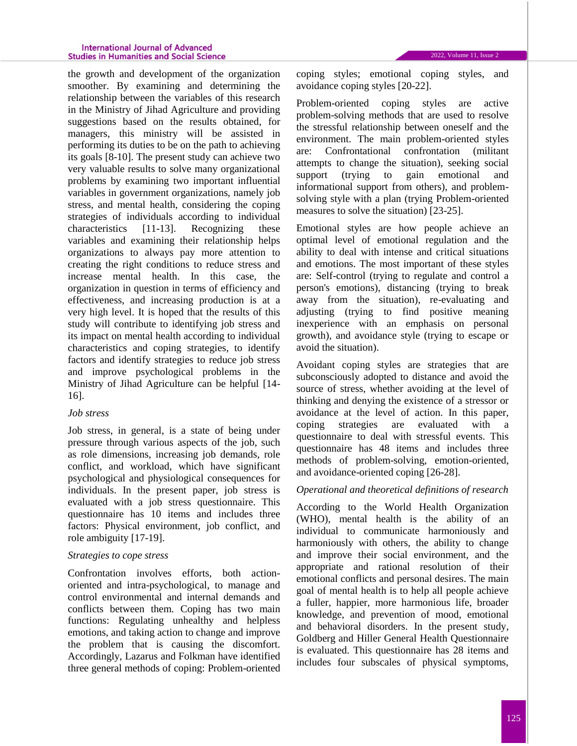#### **International Journal of Advanced Studies in Humanities and Social Science**

the growth and development of the organization smoother. By examining and determining the relationship between the variables of this research in the Ministry of Jihad Agriculture and providing suggestions based on the results obtained, for managers, this ministry will be assisted in performing its duties to be on the path to achieving its goals [8-10]. The present study can achieve two very valuable results to solve many organizational problems by examining two important influential variables in government organizations, namely job stress, and mental health, considering the coping strategies of individuals according to individual characteristics [11-13]. Recognizing these variables and examining their relationship helps organizations to always pay more attention to creating the right conditions to reduce stress and increase mental health. In this case, the organization in question in terms of efficiency and effectiveness, and increasing production is at a very high level. It is hoped that the results of this study will contribute to identifying job stress and its impact on mental health according to individual characteristics and coping strategies, to identify factors and identify strategies to reduce job stress and improve psychological problems in the Ministry of Jihad Agriculture can be helpful [14- 16].

## *Job stress*

Job stress, in general, is a state of being under pressure through various aspects of the job, such as role dimensions, increasing job demands, role conflict, and workload, which have significant psychological and physiological consequences for individuals. In the present paper, job stress is evaluated with a job stress questionnaire. This questionnaire has 10 items and includes three factors: Physical environment, job conflict, and role ambiguity [17-19].

## *Strategies to cope stress*

Confrontation involves efforts, both actionoriented and intra-psychological, to manage and control environmental and internal demands and conflicts between them. Coping has two main functions: Regulating unhealthy and helpless emotions, and taking action to change and improve the problem that is causing the discomfort. Accordingly, Lazarus and Folkman have identified three general methods of coping: Problem-oriented

coping styles; emotional coping styles, and avoidance coping styles [20-22].

Problem-oriented coping styles are active problem-solving methods that are used to resolve the stressful relationship between oneself and the environment. The main problem-oriented styles are: Confrontational confrontation (militant attempts to change the situation), seeking social support (trying to gain emotional and informational support from others), and problemsolving style with a plan (trying Problem-oriented measures to solve the situation) [23-25].

Emotional styles are how people achieve an optimal level of emotional regulation and the ability to deal with intense and critical situations and emotions. The most important of these styles are: Self-control (trying to regulate and control a person's emotions), distancing (trying to break away from the situation), re-evaluating and adjusting (trying to find positive meaning inexperience with an emphasis on personal growth), and avoidance style (trying to escape or avoid the situation).

Avoidant coping styles are strategies that are subconsciously adopted to distance and avoid the source of stress, whether avoiding at the level of thinking and denying the existence of a stressor or avoidance at the level of action. In this paper, coping strategies are evaluated with a questionnaire to deal with stressful events. This questionnaire has 48 items and includes three methods of problem-solving, emotion-oriented, and avoidance-oriented coping [26-28].

## *Operational and theoretical definitions of research*

According to the World Health Organization (WHO), mental health is the ability of an individual to communicate harmoniously and harmoniously with others, the ability to change and improve their social environment, and the appropriate and rational resolution of their emotional conflicts and personal desires. The main goal of mental health is to help all people achieve a fuller, happier, more harmonious life, broader knowledge, and prevention of mood, emotional and behavioral disorders. In the present study, Goldberg and Hiller General Health Questionnaire is evaluated. This questionnaire has 28 items and includes four subscales of physical symptoms,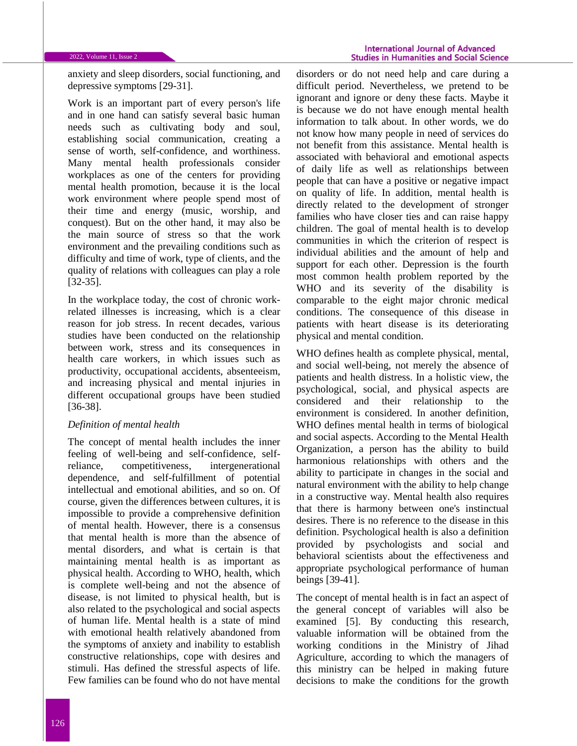anxiety and sleep disorders, social functioning, and depressive symptoms [29-31].

Work is an important part of every person's life and in one hand can satisfy several basic human needs such as cultivating body and soul, establishing social communication, creating a sense of worth, self-confidence, and worthiness. Many mental health professionals consider workplaces as one of the centers for providing mental health promotion, because it is the local work environment where people spend most of their time and energy (music, worship, and conquest). But on the other hand, it may also be the main source of stress so that the work environment and the prevailing conditions such as difficulty and time of work, type of clients, and the quality of relations with colleagues can play a role [32-35].

In the workplace today, the cost of chronic workrelated illnesses is increasing, which is a clear reason for job stress. In recent decades, various studies have been conducted on the relationship between work, stress and its consequences in health care workers, in which issues such as productivity, occupational accidents, absenteeism, and increasing physical and mental injuries in different occupational groups have been studied [36-38].

### *Definition of mental health*

The concept of mental health includes the inner feeling of well-being and self-confidence, selfreliance, competitiveness, intergenerational dependence, and self-fulfillment of potential intellectual and emotional abilities, and so on. Of course, given the differences between cultures, it is impossible to provide a comprehensive definition of mental health. However, there is a consensus that mental health is more than the absence of mental disorders, and what is certain is that maintaining mental health is as important as physical health. According to WHO, health, which is complete well-being and not the absence of disease, is not limited to physical health, but is also related to the psychological and social aspects of human life. Mental health is a state of mind with emotional health relatively abandoned from the symptoms of anxiety and inability to establish constructive relationships, cope with desires and stimuli. Has defined the stressful aspects of life. Few families can be found who do not have mental

disorders or do not need help and care during a difficult period. Nevertheless, we pretend to be ignorant and ignore or deny these facts. Maybe it is because we do not have enough mental health information to talk about. In other words, we do not know how many people in need of services do not benefit from this assistance. Mental health is associated with behavioral and emotional aspects of daily life as well as relationships between people that can have a positive or negative impact on quality of life. In addition, mental health is directly related to the development of stronger families who have closer ties and can raise happy children. The goal of mental health is to develop communities in which the criterion of respect is individual abilities and the amount of help and support for each other. Depression is the fourth most common health problem reported by the WHO and its severity of the disability is comparable to the eight major chronic medical conditions. The consequence of this disease in patients with heart disease is its deteriorating physical and mental condition.

WHO defines health as complete physical, mental, and social well-being, not merely the absence of patients and health distress. In a holistic view, the psychological, social, and physical aspects are considered and their relationship to the environment is considered. In another definition, WHO defines mental health in terms of biological and social aspects. According to the Mental Health Organization, a person has the ability to build harmonious relationships with others and the ability to participate in changes in the social and natural environment with the ability to help change in a constructive way. Mental health also requires that there is harmony between one's instinctual desires. There is no reference to the disease in this definition. Psychological health is also a definition provided by psychologists and social and behavioral scientists about the effectiveness and appropriate psychological performance of human beings [39-41].

The concept of mental health is in fact an aspect of the general concept of variables will also be examined [5]. By conducting this research, valuable information will be obtained from the working conditions in the Ministry of Jihad Agriculture, according to which the managers of this ministry can be helped in making future decisions to make the conditions for the growth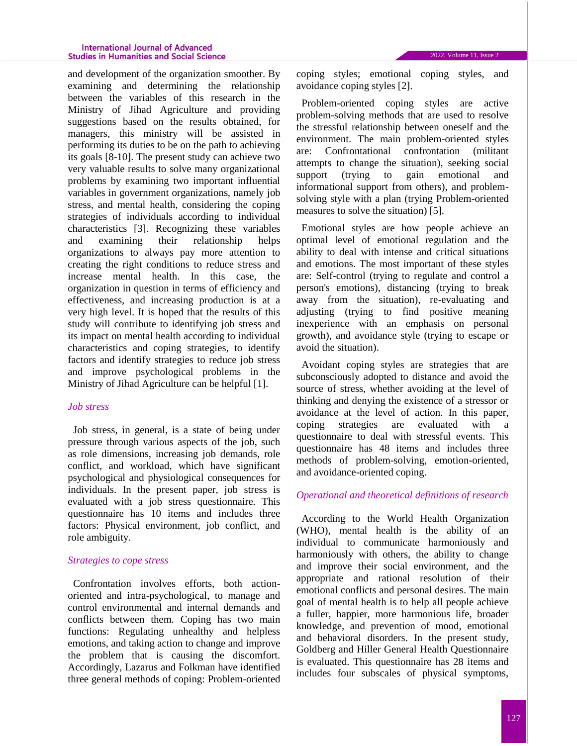#### **International Journal of Advanced Studies in Humanities and Social Science**

and development of the organization smoother. By examining and determining the relationship between the variables of this research in the Ministry of Jihad Agriculture and providing suggestions based on the results obtained, for managers, this ministry will be assisted in performing its duties to be on the path to achieving its goals [8-10]. The present study can achieve two very valuable results to solve many organizational problems by examining two important influential variables in government organizations, namely job stress, and mental health, considering the coping strategies of individuals according to individual characteristics [3]. Recognizing these variables and examining their relationship helps organizations to always pay more attention to creating the right conditions to reduce stress and increase mental health. In this case, the organization in question in terms of efficiency and effectiveness, and increasing production is at a very high level. It is hoped that the results of this study will contribute to identifying job stress and its impact on mental health according to individual characteristics and coping strategies, to identify factors and identify strategies to reduce job stress and improve psychological problems in the Ministry of Jihad Agriculture can be helpful [1].

### *Job stress*

Job stress, in general, is a state of being under pressure through various aspects of the job, such as role dimensions, increasing job demands, role conflict, and workload, which have significant psychological and physiological consequences for individuals. In the present paper, job stress is evaluated with a job stress questionnaire. This questionnaire has 10 items and includes three factors: Physical environment, job conflict, and role ambiguity.

## *Strategies to cope stress*

Confrontation involves efforts, both actionoriented and intra-psychological, to manage and control environmental and internal demands and conflicts between them. Coping has two main functions: Regulating unhealthy and helpless emotions, and taking action to change and improve the problem that is causing the discomfort. Accordingly, Lazarus and Folkman have identified three general methods of coping: Problem-oriented coping styles; emotional coping styles, and avoidance coping styles [2].

Problem-oriented coping styles are active problem-solving methods that are used to resolve the stressful relationship between oneself and the environment. The main problem-oriented styles are: Confrontational confrontation (militant attempts to change the situation), seeking social support (trying to gain emotional and informational support from others), and problemsolving style with a plan (trying Problem-oriented measures to solve the situation) [5].

Emotional styles are how people achieve an optimal level of emotional regulation and the ability to deal with intense and critical situations and emotions. The most important of these styles are: Self-control (trying to regulate and control a person's emotions), distancing (trying to break away from the situation), re-evaluating and adjusting (trying to find positive meaning inexperience with an emphasis on personal growth), and avoidance style (trying to escape or avoid the situation).

Avoidant coping styles are strategies that are subconsciously adopted to distance and avoid the source of stress, whether avoiding at the level of thinking and denying the existence of a stressor or avoidance at the level of action. In this paper, coping strategies are evaluated with a questionnaire to deal with stressful events. This questionnaire has 48 items and includes three methods of problem-solving, emotion-oriented, and avoidance-oriented coping.

## *Operational and theoretical definitions of research*

According to the World Health Organization (WHO), mental health is the ability of an individual to communicate harmoniously and harmoniously with others, the ability to change and improve their social environment, and the appropriate and rational resolution of their emotional conflicts and personal desires. The main goal of mental health is to help all people achieve a fuller, happier, more harmonious life, broader knowledge, and prevention of mood, emotional and behavioral disorders. In the present study, Goldberg and Hiller General Health Questionnaire is evaluated. This questionnaire has 28 items and includes four subscales of physical symptoms,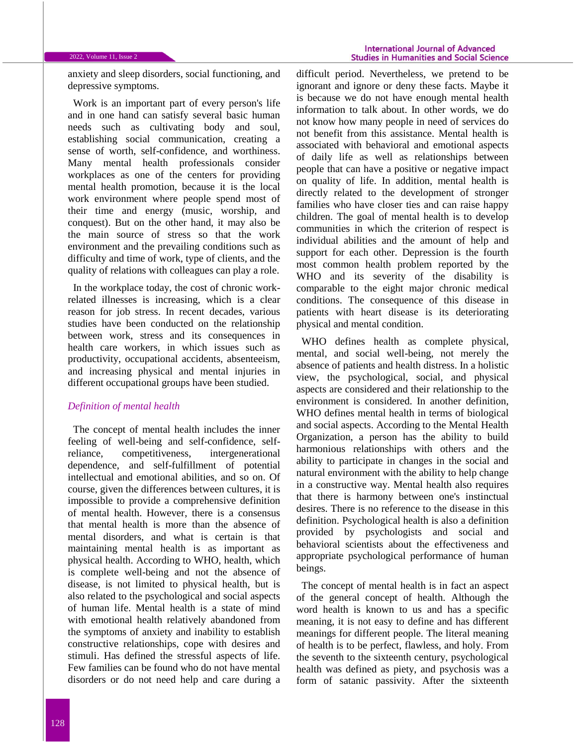anxiety and sleep disorders, social functioning, and depressive symptoms.

Work is an important part of every person's life and in one hand can satisfy several basic human needs such as cultivating body and soul, establishing social communication, creating a sense of worth, self-confidence, and worthiness. Many mental health professionals consider workplaces as one of the centers for providing mental health promotion, because it is the local work environment where people spend most of their time and energy (music, worship, and conquest). But on the other hand, it may also be the main source of stress so that the work environment and the prevailing conditions such as difficulty and time of work, type of clients, and the quality of relations with colleagues can play a role.

In the workplace today, the cost of chronic workrelated illnesses is increasing, which is a clear reason for job stress. In recent decades, various studies have been conducted on the relationship between work, stress and its consequences in health care workers, in which issues such as productivity, occupational accidents, absenteeism, and increasing physical and mental injuries in different occupational groups have been studied.

### *Definition of mental health*

The concept of mental health includes the inner feeling of well-being and self-confidence, selfreliance, competitiveness, intergenerational dependence, and self-fulfillment of potential intellectual and emotional abilities, and so on. Of course, given the differences between cultures, it is impossible to provide a comprehensive definition of mental health. However, there is a consensus that mental health is more than the absence of mental disorders, and what is certain is that maintaining mental health is as important as physical health. According to WHO, health, which is complete well-being and not the absence of disease, is not limited to physical health, but is also related to the psychological and social aspects of human life. Mental health is a state of mind with emotional health relatively abandoned from the symptoms of anxiety and inability to establish constructive relationships, cope with desires and stimuli. Has defined the stressful aspects of life. Few families can be found who do not have mental disorders or do not need help and care during a difficult period. Nevertheless, we pretend to be ignorant and ignore or deny these facts. Maybe it is because we do not have enough mental health information to talk about. In other words, we do not know how many people in need of services do not benefit from this assistance. Mental health is associated with behavioral and emotional aspects of daily life as well as relationships between people that can have a positive or negative impact on quality of life. In addition, mental health is directly related to the development of stronger families who have closer ties and can raise happy children. The goal of mental health is to develop communities in which the criterion of respect is individual abilities and the amount of help and support for each other. Depression is the fourth most common health problem reported by the WHO and its severity of the disability is comparable to the eight major chronic medical conditions. The consequence of this disease in patients with heart disease is its deteriorating physical and mental condition.

WHO defines health as complete physical, mental, and social well-being, not merely the absence of patients and health distress. In a holistic view, the psychological, social, and physical aspects are considered and their relationship to the environment is considered. In another definition, WHO defines mental health in terms of biological and social aspects. According to the Mental Health Organization, a person has the ability to build harmonious relationships with others and the ability to participate in changes in the social and natural environment with the ability to help change in a constructive way. Mental health also requires that there is harmony between one's instinctual desires. There is no reference to the disease in this definition. Psychological health is also a definition provided by psychologists and social and behavioral scientists about the effectiveness and appropriate psychological performance of human beings.

The concept of mental health is in fact an aspect of the general concept of health. Although the word health is known to us and has a specific meaning, it is not easy to define and has different meanings for different people. The literal meaning of health is to be perfect, flawless, and holy. From the seventh to the sixteenth century, psychological health was defined as piety, and psychosis was a form of satanic passivity. After the sixteenth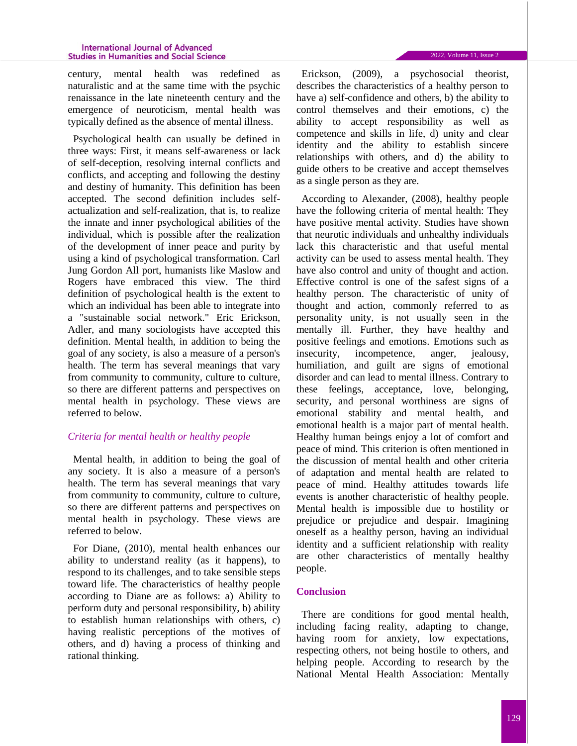century, mental health was redefined as naturalistic and at the same time with the psychic renaissance in the late nineteenth century and the emergence of neuroticism, mental health was typically defined as the absence of mental illness.

Psychological health can usually be defined in three ways: First, it means self-awareness or lack of self-deception, resolving internal conflicts and conflicts, and accepting and following the destiny and destiny of humanity. This definition has been accepted. The second definition includes selfactualization and self-realization, that is, to realize the innate and inner psychological abilities of the individual, which is possible after the realization of the development of inner peace and purity by using a kind of psychological transformation. Carl Jung Gordon All port, humanists like Maslow and Rogers have embraced this view. The third definition of psychological health is the extent to which an individual has been able to integrate into a "sustainable social network." Eric Erickson, Adler, and many sociologists have accepted this definition. Mental health, in addition to being the goal of any society, is also a measure of a person's health. The term has several meanings that vary from community to community, culture to culture, so there are different patterns and perspectives on mental health in psychology. These views are referred to below.

## *Criteria for mental health or healthy people*

Mental health, in addition to being the goal of any society. It is also a measure of a person's health. The term has several meanings that vary from community to community, culture to culture, so there are different patterns and perspectives on mental health in psychology. These views are referred to below.

For Diane, (2010), mental health enhances our ability to understand reality (as it happens), to respond to its challenges, and to take sensible steps toward life. The characteristics of healthy people according to Diane are as follows: a) Ability to perform duty and personal responsibility, b) ability to establish human relationships with others, c) having realistic perceptions of the motives of others, and d) having a process of thinking and rational thinking.

Erickson, (2009), a psychosocial theorist, describes the characteristics of a healthy person to have a) self-confidence and others, b) the ability to control themselves and their emotions, c) the ability to accept responsibility as well as competence and skills in life, d) unity and clear identity and the ability to establish sincere relationships with others, and d) the ability to guide others to be creative and accept themselves as a single person as they are.

According to Alexander, (2008), healthy people have the following criteria of mental health: They have positive mental activity. Studies have shown that neurotic individuals and unhealthy individuals lack this characteristic and that useful mental activity can be used to assess mental health. They have also control and unity of thought and action. Effective control is one of the safest signs of a healthy person. The characteristic of unity of thought and action, commonly referred to as personality unity, is not usually seen in the mentally ill. Further, they have healthy and positive feelings and emotions. Emotions such as insecurity, incompetence, anger, jealousy, humiliation, and guilt are signs of emotional disorder and can lead to mental illness. Contrary to these feelings, acceptance, love, belonging, security, and personal worthiness are signs of emotional stability and mental health, and emotional health is a major part of mental health. Healthy human beings enjoy a lot of comfort and peace of mind. This criterion is often mentioned in the discussion of mental health and other criteria of adaptation and mental health are related to peace of mind. Healthy attitudes towards life events is another characteristic of healthy people. Mental health is impossible due to hostility or prejudice or prejudice and despair. Imagining oneself as a healthy person, having an individual identity and a sufficient relationship with reality are other characteristics of mentally healthy people.

## **Conclusion**

There are conditions for good mental health, including facing reality, adapting to change, having room for anxiety, low expectations, respecting others, not being hostile to others, and helping people. According to research by the National Mental Health Association: Mentally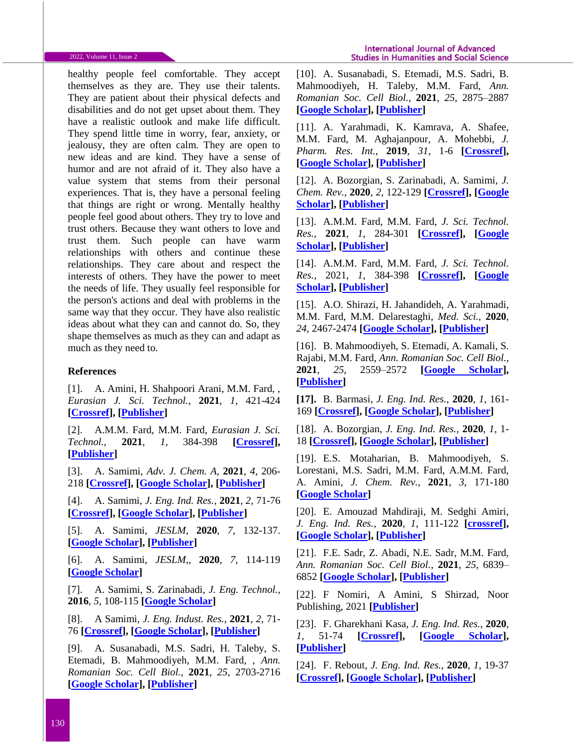### 2022, Volume 11, Issue 2

**International Journal of Advanced Studies in Humanities and Social Science** 

healthy people feel comfortable. They accept themselves as they are. They use their talents. They are patient about their physical defects and disabilities and do not get upset about them. They have a realistic outlook and make life difficult. They spend little time in worry, fear, anxiety, or jealousy, they are often calm. They are open to new ideas and are kind. They have a sense of humor and are not afraid of it. They also have a value system that stems from their personal experiences. That is, they have a personal feeling that things are right or wrong. Mentally healthy people feel good about others. They try to love and trust others. Because they want others to love and trust them. Such people can have warm relationships with others and continue these relationships. They care about and respect the interests of others. They have the power to meet the needs of life. They usually feel responsible for the person's actions and deal with problems in the same way that they occur. They have also realistic ideas about what they can and cannot do. So, they shape themselves as much as they can and adapt as much as they need to.

### **References**

[1]. A. Amini, H. Shahpoori Arani, M.M. Fard, , *Eurasian J. Sci. Technol.*, **2021**, *1*, 421-424 **[\[Crossref\]](http://dx.doi.org/10.22034/EJST.2022.2.3), [\[Publisher\]](http://ejst.samipubco.com/article_133942.html)**

[2]. A.M.M. Fard, M.M. Fard, *Eurasian J. Sci. Technol.*, **2021**, *1*, 384-398 **[\[Crossref\]](http://dx.doi.org/10.22034/EJST.2022.2.1), [\[Publisher\]](http://ejst.samipubco.com/article_132494.html)**

[3]. A. Samimi, *Adv. J. Chem. A*, **2021**, *4*, 206- 218 **[\[Crossref\]](http://dx.doi.org/10.22034/ajca.2021.277905.1248), [\[Google Scholar\]](https://scholar.google.com/scholar?hl=en&as_sdt=0%2C5&q=New+Method+of+Corrosion+in+Isomerization+Units&btnG=), [\[Publisher\]](http://www.ajchem-a.com/article_130196.html)**

[4]. A. Samimi, *J. Eng. Ind. Res.*, **2021**, *2*, 71-76 **[\[Crossref\]](http://dx.doi.org/10.22034/jeires.2021.269282.1021), [\[Google Scholar\]](https://scholar.google.com/scholar?q=The+Need+for+Risk+Assessment+in+Occupational+Health&hl=en&as_sdt=0,5), [\[Publisher\]](http://www.jeires.com/article_129037.html)**

[5]. A. Samimi, *JESLM*, **2020**, *7*, 132-137. **[\[Google Scholar\]](https://scholar.google.com/scholar?hl=en&as_sdt=0%2C5&q=Risk+Management+in+the+Laboratory+based+on+the+17025+Standards&btnG=), [\[Publisher\]](http://worldofresearches.com/ojs-2.4.4-1/index.php/CJNMS/article/view/941)**

[6]. A. Samimi, *JESLM*,, **2020**, *7*, 114-119 **[\[Google Scholar\]](https://scholar.google.com/scholar?hl=en&as_sdt=0%2C5&q=Risk+Management+in+the+Laboratory+based+on+the+17025+Standards&btnG=)**

[7]. A. Samimi, S. Zarinabadi, *J. Eng. Technol.*, **2016**, *5*, 108-115 **[\[Google Scholar\]](https://scholar.google.com/scholar?hl=en&as_sdt=0%2C5&q=The+Investigation+of+Using+Inhibitors+to+Prevent+the+Formation+of+Hydrate+in+Gas+Pipelines&btnG=)** 

[8]. A Samimi, *J. Eng. Indust. Res.,* **2021**, *2*, 71- 76 **[\[Crossref\]](https://dx.doi.org/10.22034/jeires.2021.269282.1021), [\[Google Scholar\]](https://scholar.google.com/scholar?hl=en&as_sdt=0%2C5&q=The+Need+for+Risk+Assessment+in+Occupational+Health&btnG=), [\[Publisher\]](http://www.jeires.com/article_129037.html)**

[9]. A. Susanabadi, M.S. Sadri, H. Taleby, S. Etemadi, B. Mahmoodiyeh, M.M. Fard, , *Ann. Romanian Soc. Cell Biol.*, **2021**, *25*, 2703-2716 **[\[Google Scholar\]](https://scholar.google.com/scholar?hl=en&as_sdt=0%2C5&q=Evaluatingthe+Outcome+of+Total+Intravenous+Anesthesia+and+Single+Drug+Pharmacological+to+Prevent+Postoperative+Vomiting%3A+Systematic+Review+and+Meta-Analysis&btnG=), [\[Publisher\]](https://www.annalsofrscb.ro/index.php/journal/article/view/5896)**

[10]. A. Susanabadi, S. Etemadi, M.S. Sadri, B. Mahmoodiyeh, H. Taleby, M.M. Fard, *Ann. Romanian Soc. Cell Biol.*, **2021**, *25*, 2875–2887 **[\[Google Scholar\]](https://scholar.google.com/scholar?hl=en&as_sdt=0%2C5&q=Comparing+Transversus+Abdominis+Plane+Block+and+Wound+Infiltration+without+Liposome+Anesthetics+in+Adult+Patients%3A+Systematic+Review+and+Meta-Analysis%2C+&btnG=), [\[Publisher\]](https://www.annalsofrscb.ro/index.php/journal/article/view/5916)**

[11]. A. Yarahmadi, K. Kamrava, A. Shafee, M.M. Fard, M. Aghajanpour, A. Mohebbi, *J. Pharm. Res. Int.*, **2019**, *31*, 1-6 **[\[Crossref\]](https://doi.org/10.9734/jpri/2019/v31i630369), [\[Google Scholar\]](https://scholar.google.com/scholar?hl=en&as_sdt=0%2C5&q=Investigation+of+Olfactory+Function+Following+Septorhinoplasty+in+Iranian+Population+by+Rapid+Smell+Test+%28RST%29&btnG=), [\[Publisher\]](https://www.journaljpri.com/index.php/JPRI/article/view/30369)**

[12]. A. Bozorgian, S. Zarinabadi, A. Samimi, *J. Chem. Rev.*, **2020**, *2*, 122-129 **[\[Crossref\]](https://dx.doi.org/10.33945/SAMI/JCR.2020.2.5), [\[Google](https://scholar.google.com/scholar?hl=en&as_sdt=0%2C5&q=+Optimization+of+Well+Production+by+Designing+a+Core+pipe+in+one+of+the+Southwest+oil+Wells+of+Iran&btnG=)  [Scholar\]](https://scholar.google.com/scholar?hl=en&as_sdt=0%2C5&q=+Optimization+of+Well+Production+by+Designing+a+Core+pipe+in+one+of+the+Southwest+oil+Wells+of+Iran&btnG=), [\[Publisher\]](http://www.jchemrev.com/article_103699.html)**

[13]. A.M.M. Fard, M.M. Fard, *J. Sci. Technol. Res.,* **2021**, *1*, 284-301 **[\[Crossref\]](https://doi.org/10.22034/JSTR.2021.289424.1046), [\[Google](https://scholar.google.com/scholar?hl=en&as_sdt=0%2C5&q=Modeling+Drug+Release&btnG=)  [Scholar\]](https://scholar.google.com/scholar?hl=en&as_sdt=0%2C5&q=Modeling+Drug+Release&btnG=), [\[Publisher\]](http://jstr.samipubco.com/article_132074.html)**

[14]. A.M.M. Fard, M.M. Fard, *J. Sci. Technol. Res.*, 2021, *1*, 384-398 **[\[Crossref\]](http://dx.doi.org/10.22034/jstr.2021.289470.1047), [\[Google](https://scholar.google.com/scholar?hl=en&as_sdt=0%2C5&q=Evaluation+of+Office+Stones+in+Kidney+Patients+and+How+to+form+and+Treat+Them&btnG=)  [Scholar\]](https://scholar.google.com/scholar?hl=en&as_sdt=0%2C5&q=Evaluation+of+Office+Stones+in+Kidney+Patients+and+How+to+form+and+Treat+Them&btnG=), [\[Publisher\]](http://jstr.samipubco.com/article_132494.html)**

[15]. A.O. Shirazi, H. Jahandideh, A. Yarahmadi, M.M. Fard, M.M. Delarestaghi, *Med. Sci.*, **2020**, *24*, 2467-2474 **[\[Google Scholar\]](https://scholar.google.com/scholar?hl=en&as_sdt=0%2C5&q=The+effect+of+apple+cider+vinegar+in+the+treatment+of+chronic+rhinosinusitis&btnG=), [\[Publisher\]](https://discoveryjournals.org/medicalscience/current_issue/v24/n104/A91.pdf)**

[16]. B. Mahmoodiyeh, S. Etemadi, A. Kamali, S. Rajabi, M.M. Fard, *Ann. Romanian Soc. Cell Biol.*, **2021**, *25*, 2559–2572 **[\[Google Scholar\]](https://scholar.google.com/scholar?hl=en&as_sdt=0%2C5&q=Evaluating+the+Effect+of+Different+Types+of+Anesthesia+on+Intraoperative+Blood+Glucose+Levels+in+Diabetics+and+Non-Diabetics+Patients%3A+A+Systematic+Review+and+Meta-Analysis&btnG=), [\[Publisher\]](https://www.annalsofrscb.ro/index.php/journal/article/view/2787)**

**[17].** B. Barmasi, *J. Eng. Ind. Res.*, **2020**, *1*, 161- 169 **[\[Crossref\]](http://dx.doi.org/10.22034/jeires.2020.263702.1014), [\[Google Scholar\]](https://scholar.google.com/scholar?hl=en&as_sdt=0%2C5&q=The+Effect+of+Adding+Saccharin+to+the+Bath+on+the+Hardness+and+Wear+Behavior+of+the+Coating&btnG=), [\[Publisher\]](http://www.jeires.com/article_120956.html)**

[18]. A. Bozorgian, *J. Eng. Ind. Res.*, **2020**, *1*, 1- 18 **[\[Crossref\]](http://dx.doi.org/10.22034/jeires.2020.260854.1000), [\[Google Scholar\]](https://scholar.google.com/scholar?hl=en&as_sdt=0%2C5&q=Investigation+of+the+history+of+formation+of+gas+hydrates%2C+&btnG=), [\[Publisher\]](http://www.jeires.com/article_120226.html)**

[19]. E.S. Motaharian, B. Mahmoodiyeh, S. Lorestani, M.S. Sadri, M.M. Fard, A.M.M. Fard, A. Amini, *J. Chem. Rev.*, **2021**, *3*, 171-180 **[\[Google Scholar\]](https://scholar.google.com/scholar?hl=en&as_sdt=0%2C5&q=Radiologic+findings+of+patients+with+covid-19-a+systematic+review+study&btnG=)**

[20]. E. Amouzad Mahdiraji, M. Sedghi Amiri, *J. Eng. Ind. Res.*, **2020**, *1*, 111-122 **[\[crossref\]](https://dx.doi.org/10.22034/jeires.2020.261386.1004), [\[Google Scholar\]](https://scholar.google.com/scholar?hl=en&as_sdt=0%2C5&q=Optimization+of+Market+Clearing+Process+in+Power+System+with+NSGA+Algorithm&btnG=), [\[Publisher\]](http://www.jeires.com/article_120273.html)**

[21]. F.E. Sadr, Z. Abadi, N.E. Sadr, M.M. Fard, *Ann. Romanian Soc. Cell Biol.*, **2021**, *25*, 6839– 6852 **[\[Google Scholar\]](https://scholar.google.com/scholar?hl=en&as_sdt=0%2C5&q=The+Risk+for+SARS-Cov-2+Virus+Contamination+through+Surgical+Smoking+and+Aerosolization+by+Laparoscopic+Surgery%3A+A+Systematic+Review&btnG=), [\[Publisher\]](https://www.annalsofrscb.ro/index.php/journal/article/view/852)**

[22]. F Nomiri, A Amini, S Shirzad, Noor Publishing, 2021 **[\[Publisher\]](https://www.amazon.com/Investigation-Special-Nursing-Measures-Physiolo/dp/6203858501)**

[23]. F. Gharekhani Kasa, *J. Eng. Ind. Res.*, **2020**, *1*, 51-74 **[\[Crossref\]](http://dx.doi.org/10.22034/jeires.2020.262801.1008), [\[Google Scholar\]](https://scholar.google.com/scholar?hl=en&as_sdt=0%2C5&q=A+Study+of+the+Architectural+Design+of+Contemporary+Museums+in+Iran%2C&btnG=), [\[Publisher\]](http://www.jeires.com/article_120681.html)**

[24]. F. Rebout, *J. Eng. Ind. Res.*, **2020**, *1*, 19-37 **[\[Crossref\]](http://dx.doi.org/10.22034/jeires.2020.262514.1006), [\[Google Scholar\]](https://scholar.google.com/scholar?hl=en&as_sdt=0%2C5&q=CFA+Performance+Evaluation%3A+a+Comprehensive+Structural+Equation+Modeling%2C+&btnG=), [\[Publisher\]](http://www.jeires.com/article_120575.html)**